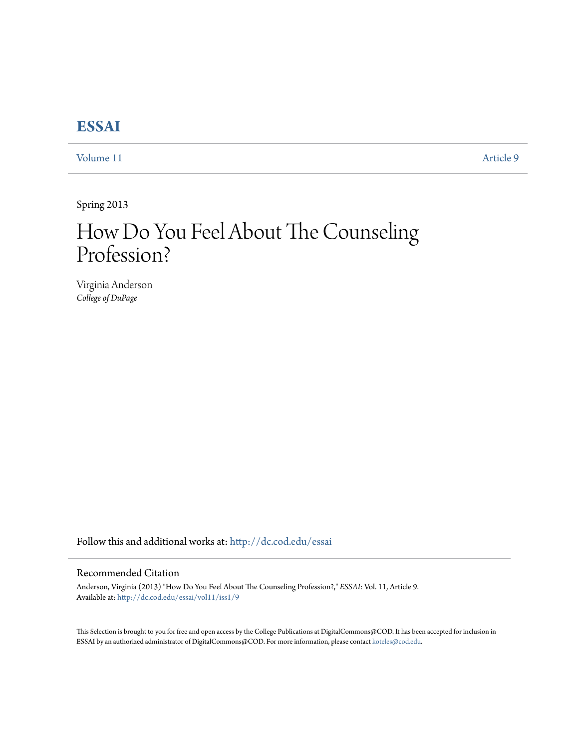## **[ESSAI](http://dc.cod.edu/essai?utm_source=dc.cod.edu%2Fessai%2Fvol11%2Fiss1%2F9&utm_medium=PDF&utm_campaign=PDFCoverPages)**

[Volume 11](http://dc.cod.edu/essai/vol11?utm_source=dc.cod.edu%2Fessai%2Fvol11%2Fiss1%2F9&utm_medium=PDF&utm_campaign=PDFCoverPages) [Article 9](http://dc.cod.edu/essai/vol11/iss1/9?utm_source=dc.cod.edu%2Fessai%2Fvol11%2Fiss1%2F9&utm_medium=PDF&utm_campaign=PDFCoverPages)

Spring 2013

## How Do You Feel About The Counseling Profession?

Virginia Anderson *College of DuPage*

Follow this and additional works at: [http://dc.cod.edu/essai](http://dc.cod.edu/essai?utm_source=dc.cod.edu%2Fessai%2Fvol11%2Fiss1%2F9&utm_medium=PDF&utm_campaign=PDFCoverPages)

## Recommended Citation

Anderson, Virginia (2013) "How Do You Feel About The Counseling Profession?," *ESSAI*: Vol. 11, Article 9. Available at: [http://dc.cod.edu/essai/vol11/iss1/9](http://dc.cod.edu/essai/vol11/iss1/9?utm_source=dc.cod.edu%2Fessai%2Fvol11%2Fiss1%2F9&utm_medium=PDF&utm_campaign=PDFCoverPages)

This Selection is brought to you for free and open access by the College Publications at DigitalCommons@COD. It has been accepted for inclusion in ESSAI by an authorized administrator of DigitalCommons@COD. For more information, please contact [koteles@cod.edu](mailto:koteles@cod.edu).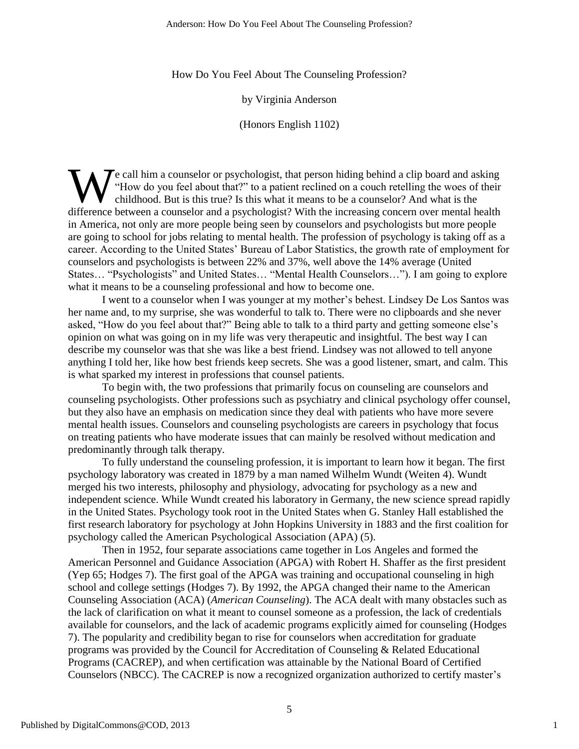How Do You Feel About The Counseling Profession?

by Virginia Anderson

(Honors English 1102)

 $\mathbf{\Sigma}$  e call him a counselor or psychologist, that person hiding behind a clip board and asking "How do you feel about that?" to a patient reclined on a couch retelling the woes of their childhood. But is this true? Is this what it means to be a counselor? And what is the We call him a counselor or psychologist, that person hiding behind a clip board and asking<br>
"How do you feel about that?" to a patient reclined on a couch retelling the woes of their<br>
childhood. But is this true? Is this w in America, not only are more people being seen by counselors and psychologists but more people are going to school for jobs relating to mental health. The profession of psychology is taking off as a career. According to the United States' Bureau of Labor Statistics, the growth rate of employment for counselors and psychologists is between 22% and 37%, well above the 14% average (United States… "Psychologists" and United States… "Mental Health Counselors…"). I am going to explore what it means to be a counseling professional and how to become one.

I went to a counselor when I was younger at my mother's behest. Lindsey De Los Santos was her name and, to my surprise, she was wonderful to talk to. There were no clipboards and she never asked, "How do you feel about that?" Being able to talk to a third party and getting someone else's opinion on what was going on in my life was very therapeutic and insightful. The best way I can describe my counselor was that she was like a best friend. Lindsey was not allowed to tell anyone anything I told her, like how best friends keep secrets. She was a good listener, smart, and calm. This is what sparked my interest in professions that counsel patients.

To begin with, the two professions that primarily focus on counseling are counselors and counseling psychologists. Other professions such as psychiatry and clinical psychology offer counsel, but they also have an emphasis on medication since they deal with patients who have more severe mental health issues. Counselors and counseling psychologists are careers in psychology that focus on treating patients who have moderate issues that can mainly be resolved without medication and predominantly through talk therapy.

To fully understand the counseling profession, it is important to learn how it began. The first psychology laboratory was created in 1879 by a man named Wilhelm Wundt (Weiten 4). Wundt merged his two interests, philosophy and physiology, advocating for psychology as a new and independent science. While Wundt created his laboratory in Germany, the new science spread rapidly in the United States. Psychology took root in the United States when G. Stanley Hall established the first research laboratory for psychology at John Hopkins University in 1883 and the first coalition for psychology called the American Psychological Association (APA) (5).

Then in 1952, four separate associations came together in Los Angeles and formed the American Personnel and Guidance Association (APGA) with Robert H. Shaffer as the first president (Yep 65; Hodges 7). The first goal of the APGA was training and occupational counseling in high school and college settings (Hodges 7). By 1992, the APGA changed their name to the American Counseling Association (ACA) (*American Counseling*). The ACA dealt with many obstacles such as the lack of clarification on what it meant to counsel someone as a profession, the lack of credentials available for counselors, and the lack of academic programs explicitly aimed for counseling (Hodges 7). The popularity and credibility began to rise for counselors when accreditation for graduate programs was provided by the Council for Accreditation of Counseling & Related Educational Programs (CACREP), and when certification was attainable by the National Board of Certified Counselors (NBCC). The CACREP is now a recognized organization authorized to certify master's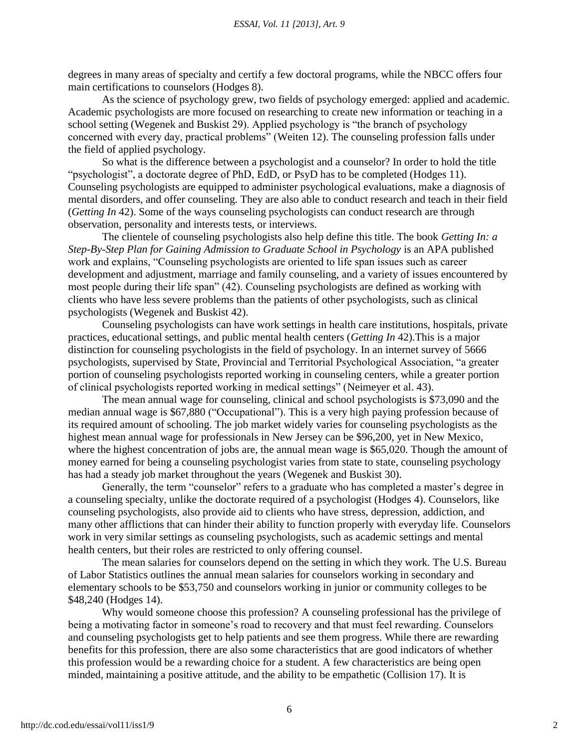degrees in many areas of specialty and certify a few doctoral programs, while the NBCC offers four main certifications to counselors (Hodges 8).

As the science of psychology grew, two fields of psychology emerged: applied and academic. Academic psychologists are more focused on researching to create new information or teaching in a school setting (Wegenek and Buskist 29). Applied psychology is "the branch of psychology concerned with every day, practical problems" (Weiten 12). The counseling profession falls under the field of applied psychology.

So what is the difference between a psychologist and a counselor? In order to hold the title "psychologist", a doctorate degree of PhD, EdD, or PsyD has to be completed (Hodges 11). Counseling psychologists are equipped to administer psychological evaluations, make a diagnosis of mental disorders, and offer counseling. They are also able to conduct research and teach in their field (*Getting In* 42). Some of the ways counseling psychologists can conduct research are through observation, personality and interests tests, or interviews.

The clientele of counseling psychologists also help define this title. The book *Getting In: a Step-By-Step Plan for Gaining Admission to Graduate School in Psychology* is an APA published work and explains, "Counseling psychologists are oriented to life span issues such as career development and adjustment, marriage and family counseling, and a variety of issues encountered by most people during their life span"  $(42)$ . Counseling psychologists are defined as working with clients who have less severe problems than the patients of other psychologists, such as clinical psychologists (Wegenek and Buskist 42).

Counseling psychologists can have work settings in health care institutions, hospitals, private practices, educational settings, and public mental health centers (*Getting In* 42).This is a major distinction for counseling psychologists in the field of psychology. In an internet survey of 5666 psychologists, supervised by State, Provincial and Territorial Psychological Association, "a greater portion of counseling psychologists reported working in counseling centers, while a greater portion of clinical psychologists reported working in medical settings" (Neimeyer et al. 43).

The mean annual wage for counseling, clinical and school psychologists is \$73,090 and the median annual wage is \$67,880 ("Occupational"). This is a very high paying profession because of its required amount of schooling. The job market widely varies for counseling psychologists as the highest mean annual wage for professionals in New Jersey can be \$96,200, yet in New Mexico, where the highest concentration of jobs are, the annual mean wage is \$65,020. Though the amount of money earned for being a counseling psychologist varies from state to state, counseling psychology has had a steady job market throughout the years (Wegenek and Buskist 30).

Generally, the term "counselor" refers to a graduate who has completed a master's degree in a counseling specialty, unlike the doctorate required of a psychologist (Hodges 4). Counselors, like counseling psychologists, also provide aid to clients who have stress, depression, addiction, and many other afflictions that can hinder their ability to function properly with everyday life. Counselors work in very similar settings as counseling psychologists, such as academic settings and mental health centers, but their roles are restricted to only offering counsel.

The mean salaries for counselors depend on the setting in which they work. The U.S. Bureau of Labor Statistics outlines the annual mean salaries for counselors working in secondary and elementary schools to be \$53,750 and counselors working in junior or community colleges to be \$48,240 (Hodges 14).

Why would someone choose this profession? A counseling professional has the privilege of being a motivating factor in someone's road to recovery and that must feel rewarding. Counselors and counseling psychologists get to help patients and see them progress. While there are rewarding benefits for this profession, there are also some characteristics that are good indicators of whether this profession would be a rewarding choice for a student. A few characteristics are being open minded, maintaining a positive attitude, and the ability to be empathetic (Collision 17). It is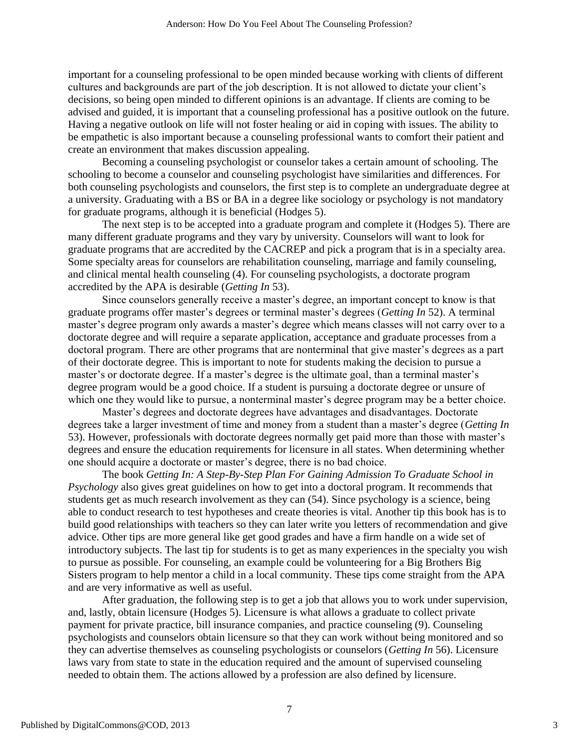important for a counseling professional to be open minded because working with clients of different cultures and backgrounds are part of the job description. It is not allowed to dictate your client's decisions, so being open minded to different opinions is an advantage. If clients are coming to be advised and guided, it is important that a counseling professional has a positive outlook on the future. Having a negative outlook on life will not foster healing or aid in coping with issues. The ability to be empathetic is also important because a counseling professional wants to comfort their patient and create an environment that makes discussion appealing.

Becoming a counseling psychologist or counselor takes a certain amount of schooling. The schooling to become a counselor and counseling psychologist have similarities and differences. For both counseling psychologists and counselors, the first step is to complete an undergraduate degree at a university. Graduating with a BS or BA in a degree like sociology or psychology is not mandatory for graduate programs, although it is beneficial (Hodges 5).

The next step is to be accepted into a graduate program and complete it (Hodges 5). There are many different graduate programs and they vary by university. Counselors will want to look for graduate programs that are accredited by the CACREP and pick a program that is in a specialty area. Some specialty areas for counselors are rehabilitation counseling, marriage and family counseling, and clinical mental health counseling (4). For counseling psychologists, a doctorate program accredited by the APA is desirable (*Getting In* 53).

Since counselors generally receive a master's degree, an important concept to know is that graduate programs offer master's degrees or terminal master's degrees (*Getting In* 52). A terminal master's degree program only awards a master's degree which means classes will not carry over to a doctorate degree and will require a separate application, acceptance and graduate processes from a doctoral program. There are other programs that are nonterminal that give master's degrees as a part of their doctorate degree. This is important to note for students making the decision to pursue a master's or doctorate degree. If a master's degree is the ultimate goal, than a terminal master's degree program would be a good choice. If a student is pursuing a doctorate degree or unsure of which one they would like to pursue, a nonterminal master's degree program may be a better choice.

Master's degrees and doctorate degrees have advantages and disadvantages. Doctorate degrees take a larger investment of time and money from a student than a master's degree (*Getting In* 53). However, professionals with doctorate degrees normally get paid more than those with master's degrees and ensure the education requirements for licensure in all states. When determining whether one should acquire a doctorate or master's degree, there is no bad choice.

The book *Getting In: A Step-By-Step Plan For Gaining Admission To Graduate School in Psychology* also gives great guidelines on how to get into a doctoral program. It recommends that students get as much research involvement as they can (54). Since psychology is a science, being able to conduct research to test hypotheses and create theories is vital. Another tip this book has is to build good relationships with teachers so they can later write you letters of recommendation and give advice. Other tips are more general like get good grades and have a firm handle on a wide set of introductory subjects. The last tip for students is to get as many experiences in the specialty you wish to pursue as possible. For counseling, an example could be volunteering for a Big Brothers Big Sisters program to help mentor a child in a local community. These tips come straight from the APA and are very informative as well as useful.

After graduation, the following step is to get a job that allows you to work under supervision, and, lastly, obtain licensure (Hodges 5). Licensure is what allows a graduate to collect private payment for private practice, bill insurance companies, and practice counseling (9). Counseling psychologists and counselors obtain licensure so that they can work without being monitored and so they can advertise themselves as counseling psychologists or counselors (*Getting In* 56). Licensure laws vary from state to state in the education required and the amount of supervised counseling needed to obtain them. The actions allowed by a profession are also defined by licensure.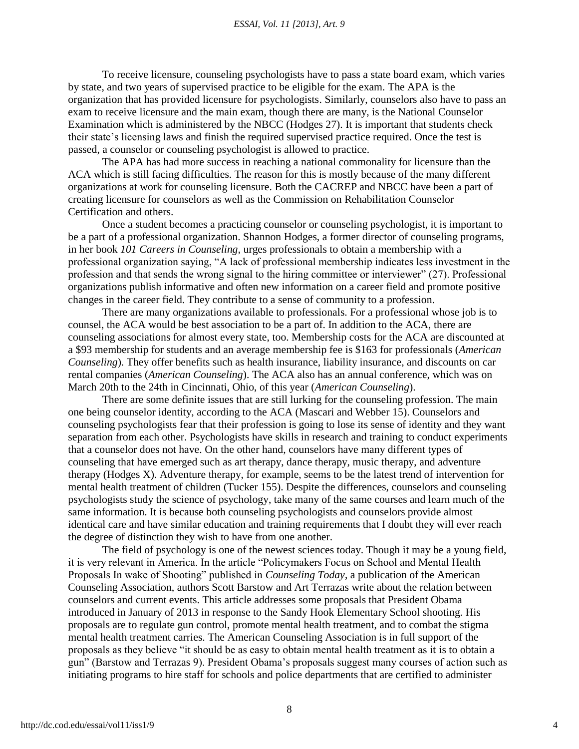To receive licensure, counseling psychologists have to pass a state board exam, which varies by state, and two years of supervised practice to be eligible for the exam. The APA is the organization that has provided licensure for psychologists. Similarly, counselors also have to pass an exam to receive licensure and the main exam, though there are many, is the National Counselor Examination which is administered by the NBCC (Hodges 27). It is important that students check their state's licensing laws and finish the required supervised practice required. Once the test is passed, a counselor or counseling psychologist is allowed to practice.

The APA has had more success in reaching a national commonality for licensure than the ACA which is still facing difficulties. The reason for this is mostly because of the many different organizations at work for counseling licensure. Both the CACREP and NBCC have been a part of creating licensure for counselors as well as the Commission on Rehabilitation Counselor Certification and others.

Once a student becomes a practicing counselor or counseling psychologist, it is important to be a part of a professional organization. Shannon Hodges, a former director of counseling programs, in her book *101 Careers in Counseling,* urges professionals to obtain a membership with a professional organization saying, "A lack of professional membership indicates less investment in the profession and that sends the wrong signal to the hiring committee or interviewer"  $(27)$ . Professional organizations publish informative and often new information on a career field and promote positive changes in the career field. They contribute to a sense of community to a profession.

There are many organizations available to professionals. For a professional whose job is to counsel, the ACA would be best association to be a part of. In addition to the ACA, there are counseling associations for almost every state, too. Membership costs for the ACA are discounted at a \$93 membership for students and an average membership fee is \$163 for professionals (*American Counseling*). They offer benefits such as health insurance, liability insurance, and discounts on car rental companies (*American Counseling*). The ACA also has an annual conference, which was on March 20th to the 24th in Cincinnati, Ohio, of this year (*American Counseling*).

There are some definite issues that are still lurking for the counseling profession. The main one being counselor identity, according to the ACA (Mascari and Webber 15). Counselors and counseling psychologists fear that their profession is going to lose its sense of identity and they want separation from each other. Psychologists have skills in research and training to conduct experiments that a counselor does not have. On the other hand, counselors have many different types of counseling that have emerged such as art therapy, dance therapy, music therapy, and adventure therapy (Hodges X). Adventure therapy, for example, seems to be the latest trend of intervention for mental health treatment of children (Tucker 155). Despite the differences, counselors and counseling psychologists study the science of psychology, take many of the same courses and learn much of the same information. It is because both counseling psychologists and counselors provide almost identical care and have similar education and training requirements that I doubt they will ever reach the degree of distinction they wish to have from one another.

The field of psychology is one of the newest sciences today. Though it may be a young field, it is very relevant in America. In the article "Policymakers Focus on School and Mental Health Proposals In wake of Shooting" published in *Counseling Today*, a publication of the American Counseling Association, authors Scott Barstow and Art Terrazas write about the relation between counselors and current events. This article addresses some proposals that President Obama introduced in January of 2013 in response to the Sandy Hook Elementary School shooting. His proposals are to regulate gun control, promote mental health treatment, and to combat the stigma mental health treatment carries. The American Counseling Association is in full support of the proposals as they believe "it should be as easy to obtain mental health treatment as it is to obtain a gun" (Barstow and Terrazas 9). President Obama's proposals suggest many courses of action such as initiating programs to hire staff for schools and police departments that are certified to administer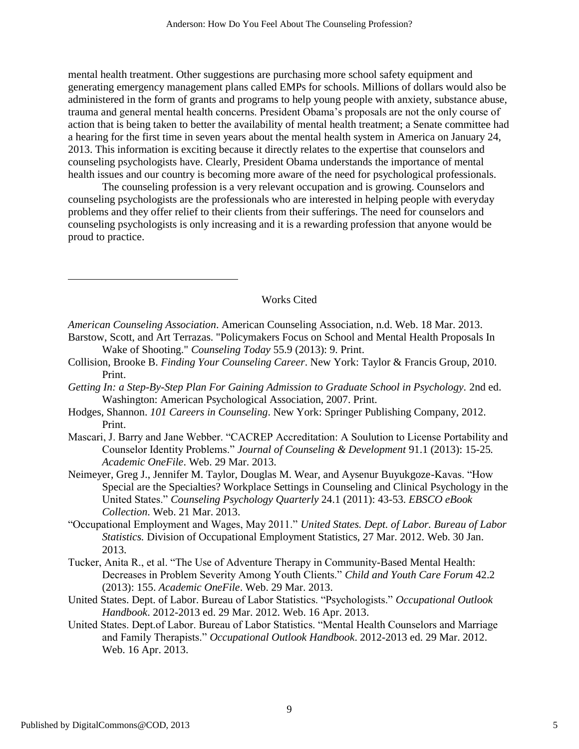mental health treatment. Other suggestions are purchasing more school safety equipment and generating emergency management plans called EMPs for schools. Millions of dollars would also be administered in the form of grants and programs to help young people with anxiety, substance abuse, trauma and general mental health concerns. President Obama's proposals are not the only course of action that is being taken to better the availability of mental health treatment; a Senate committee had a hearing for the first time in seven years about the mental health system in America on January 24, 2013. This information is exciting because it directly relates to the expertise that counselors and counseling psychologists have. Clearly, President Obama understands the importance of mental health issues and our country is becoming more aware of the need for psychological professionals.

The counseling profession is a very relevant occupation and is growing. Counselors and counseling psychologists are the professionals who are interested in helping people with everyday problems and they offer relief to their clients from their sufferings. The need for counselors and counseling psychologists is only increasing and it is a rewarding profession that anyone would be proud to practice.

## Works Cited

- Barstow, Scott, and Art Terrazas. "Policymakers Focus on School and Mental Health Proposals In Wake of Shooting." *Counseling Today* 55.9 (2013): 9. Print.
- Collision, Brooke B. *Finding Your Counseling Career*. New York: Taylor & Francis Group, 2010. Print.
- *Getting In: a Step-By-Step Plan For Gaining Admission to Graduate School in Psychology.* 2nd ed. Washington: American Psychological Association, 2007. Print.
- Hodges, Shannon. *101 Careers in Counseling*. New York: Springer Publishing Company, 2012. Print.
- Mascari, J. Barry and Jane Webber. "CACREP Accreditation: A Soulution to License Portability and Counselor Identity Problems.‖ *Journal of Counseling & Development* 91.1 (2013): 15-25*. Academic OneFile*. Web. 29 Mar. 2013.
- Neimeyer, Greg J., Jennifer M. Taylor, Douglas M. Wear, and Aysenur Buyukgoze-Kavas. "How Special are the Specialties? Workplace Settings in Counseling and Clinical Psychology in the United States.‖ *Counseling Psychology Quarterly* 24.1 (2011): 43-53. *EBSCO eBook Collection*. Web. 21 Mar. 2013.
- ―Occupational Employment and Wages, May 2011.‖ *United States. Dept. of Labor. Bureau of Labor Statistics.* Division of Occupational Employment Statistics, 27 Mar. 2012. Web. 30 Jan. 2013.
- Tucker, Anita R., et al. "The Use of Adventure Therapy in Community-Based Mental Health: Decreases in Problem Severity Among Youth Clients." Child and Youth Care Forum 42.2 (2013): 155. *Academic OneFile*. Web. 29 Mar. 2013.
- United States. Dept. of Labor. Bureau of Labor Statistics. "Psychologists." Occupational Outlook *Handbook*. 2012-2013 ed. 29 Mar. 2012. Web. 16 Apr. 2013.
- United States. Dept.of Labor. Bureau of Labor Statistics. "Mental Health Counselors and Marriage and Family Therapists.‖ *Occupational Outlook Handbook*. 2012-2013 ed. 29 Mar. 2012. Web. 16 Apr. 2013.

*American Counseling Association*. American Counseling Association, n.d. Web. 18 Mar. 2013.